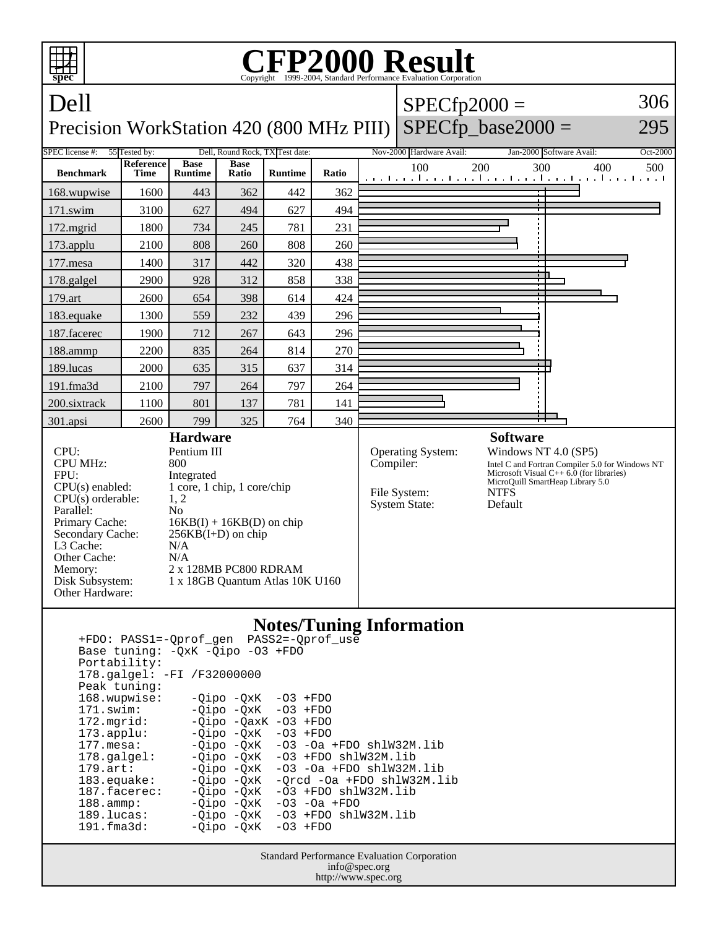

 171.swim: -Qipo -QxK -O3 +FDO 172.mgrid: -Qipo -QaxK -O3 +FDO<br>173.applu: -Qipo -QxK -O3 +FDO  $-Qipo -QxK$  177.mesa: -Qipo -QxK -O3 -Oa +FDO shlW32M.lib 178.galgel: - Qipo - QxK - 03 + FDO shlW32M.lib 179.art: -Qipo -QxK -O3 -Oa +FDO shlW32M.lib<br>183.equake: -Qipo -QxK -Qrcd -Oa +FDO shlW32M.l 183.equake: -Qipo -QxK -Qrcd -Oa +FDO shlW32M.lib<br>187.facerec: -Qipo -QxK -O3 +FDO shlW32M.lib  $-03$  +FDO shlW32M.lib 188.ammp: -Qipo -QxK -O3 -Oa +FDO 189.lucas: -Qipo -QxK -O3 +FDO shlW32M.lib<br>191.fma3d: - -Oipo -OxK -O3 +FDO  $-Qipo -QxK$ 

> Standard Performance Evaluation Corporation info@spec.org http://www.spec.org